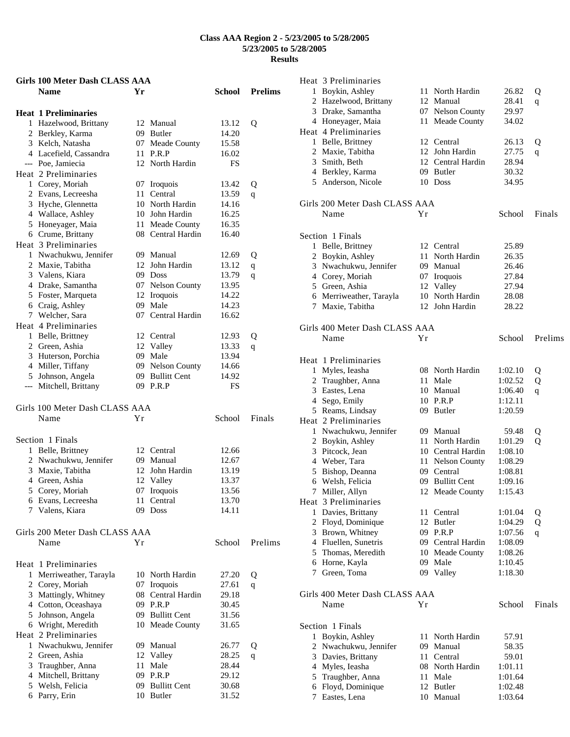| Girls 100 Meter Dash CLASS AAA      |      |                             |                |                |
|-------------------------------------|------|-----------------------------|----------------|----------------|
| <b>Name</b>                         | Уr   |                             | School         | <b>Prelims</b> |
| <b>Heat 1 Preliminaries</b>         |      |                             |                |                |
| 1 Hazelwood, Brittany               |      | 12 Manual                   | 13.12          | Q              |
| 2 Berkley, Karma                    |      | 09 Butler                   | 14.20          |                |
| 3 Kelch, Natasha                    |      | 07 Meade County             | 15.58          |                |
| 4 Lacefield, Cassandra              |      | 11 P.R.P                    | 16.02          |                |
| --- Poe, Jamiecia                   |      | 12 North Hardin             | FS             |                |
| Heat 2 Preliminaries                |      |                             |                |                |
| 1 Corey, Moriah                     |      | 07 Iroquois                 | 13.42          | Q              |
| 2 Evans, Lecreesha                  | 11 - | Central                     | 13.59          | q              |
| 3 Hyche, Glennetta                  |      | 10 North Hardin             | 14.16          |                |
| 4 Wallace, Ashley                   |      | 10 John Hardin              | 16.25          |                |
| 5 Honeyager, Maia                   |      | 11 Meade County             | 16.35          |                |
| 6 Crume, Brittany                   |      | 08 Central Hardin           | 16.40          |                |
| Heat 3 Preliminaries                |      |                             |                |                |
| 1 Nwachukwu, Jennifer               |      | 09 Manual<br>12 John Hardin | 12.69          | Q              |
| 2 Maxie, Tabitha<br>3 Valens, Kiara |      | 09 Doss                     | 13.12<br>13.79 | $\mathbf q$    |
| 4 Drake, Samantha                   |      | 07 Nelson County            | 13.95          | q              |
| 5 Foster, Marqueta                  |      | 12 Iroquois                 | 14.22          |                |
| 6 Craig, Ashley                     |      | 09 Male                     | 14.23          |                |
| 7 Welcher, Sara                     |      | 07 Central Hardin           | 16.62          |                |
| Heat 4 Preliminaries                |      |                             |                |                |
| 1 Belle, Brittney                   |      | 12 Central                  | 12.93          | Q              |
| 2 Green, Ashia                      |      | 12 Valley                   | 13.33          | q              |
| 3 Huterson, Porchia                 |      | 09 Male                     | 13.94          |                |
| 4 Miller, Tiffany                   |      | 09 Nelson County            | 14.66          |                |
| 5 Johnson, Angela                   |      | 09 Bullitt Cent             | 14.92          |                |
| --- Mitchell, Brittany              |      | 09 P.R.P                    | <b>FS</b>      |                |
| Girls 100 Meter Dash CLASS AAA      |      |                             |                |                |
| Name                                | Υr   |                             | School         | Finals         |
|                                     |      |                             |                |                |
| Section 1 Finals                    |      |                             |                |                |
| 1 Belle, Brittney                   |      | 12 Central                  | 12.66          |                |
| 2 Nwachukwu, Jennifer               |      | 09 Manual                   | 12.67          |                |
| 3 Maxie, Tabitha                    |      | 12 John Hardin              | 13.19          |                |
| 4 Green, Ashia                      |      | 12 Valley                   | 13.37          |                |
| 5 Corey, Moriah                     |      | 07 Iroquois                 | 13.56          |                |
| 6 Evans, Lecreesha                  |      | 11 Central                  | 13.70          |                |
| 7 Valens, Kiara                     |      | 09 Doss                     | 14.11          |                |
| Girls 200 Meter Dash CLASS AAA      |      |                             |                |                |
| Name                                | Υr   |                             | School         | Prelims        |
| Heat 1 Preliminaries                |      |                             |                |                |
| 1 Merriweather, Tarayla             |      | 10 North Hardin             | 27.20          | Q              |
| 2 Corey, Moriah                     |      | 07 Iroquois                 | 27.61          | q              |
| 3 Mattingly, Whitney                |      | 08 Central Hardin           | 29.18          |                |
| 4 Cotton, Oceashaya                 |      | 09 P.R.P                    | 30.45          |                |
| 5 Johnson, Angela                   |      | 09 Bullitt Cent             | 31.56          |                |
| 6 Wright, Meredith                  |      | 10 Meade County             | 31.65          |                |
| Heat 2 Preliminaries                |      |                             |                |                |
| 1 Nwachukwu, Jennifer               |      | 09 Manual                   | 26.77          | Q              |
| 2 Green, Ashia                      |      | 12 Valley                   | 28.25          | q              |
| 3 Traughber, Anna                   | 11   | Male                        | 28.44          |                |
| 4 Mitchell, Brittany                |      | 09 P.R.P                    | 29.12          |                |
| 5 Welsh, Felicia                    | 09-  | <b>Bullitt Cent</b>         | 30.68          |                |
| 6 Parry, Erin                       |      | 10 Butler                   | 31.52          |                |

| Heat 3 Preliminaries                 |    |                      |         |              |
|--------------------------------------|----|----------------------|---------|--------------|
| 1 Boykin, Ashley                     |    | 11 North Hardin      | 26.82   | Q            |
| 2 Hazelwood, Brittany                |    | 12 Manual            | 28.41   | q            |
| 3 Drake, Samantha                    |    | 07 Nelson County     | 29.97   |              |
| 4 Honeyager, Maia                    | 11 | Meade County         | 34.02   |              |
| Heat 4 Preliminaries                 |    |                      |         |              |
| 1 Belle, Brittney                    |    | 12 Central           | 26.13   | Q            |
| 2 Maxie, Tabitha                     |    | 12 John Hardin       | 27.75   | q            |
| 3 Smith, Beth                        |    | 12 Central Hardin    | 28.94   |              |
| 4 Berkley, Karma                     |    | 09 Butler            | 30.32   |              |
| 5 Anderson, Nicole                   |    | 10 Doss              | 34.95   |              |
|                                      |    |                      |         |              |
| Girls 200 Meter Dash CLASS AAA       |    |                      |         |              |
| Name                                 | Υr |                      | School  | Finals       |
| Section 1 Finals                     |    |                      |         |              |
| 1 Belle, Brittney                    |    | 12 Central           | 25.89   |              |
| 2 Boykin, Ashley                     | 11 | North Hardin         | 26.35   |              |
| 3 Nwachukwu, Jennifer                |    | 09 Manual            | 26.46   |              |
| 4 Corey, Moriah                      |    | 07 Iroquois          | 27.84   |              |
| 5 Green, Ashia                       | 12 | Valley               | 27.94   |              |
| 6 Merriweather, Tarayla              | 10 | North Hardin         | 28.08   |              |
| 7 Maxie, Tabitha                     |    | 12 John Hardin       | 28.22   |              |
|                                      |    |                      |         |              |
| Girls 400 Meter Dash CLASS AAA       |    |                      |         |              |
| Name                                 | Υr |                      | School  | Prelims      |
| Heat 1 Preliminaries                 |    |                      |         |              |
| 1 Myles, Ieasha                      |    | 08 North Hardin      | 1:02.10 | Q            |
| 2 Traughber, Anna                    | 11 | Male                 | 1:02.52 | Q            |
| 3 Eastes, Lena                       |    | 10 Manual            | 1:06.40 | q            |
| 4 Sego, Emily                        |    | 10 P.R.P             | 1:12.11 |              |
| 5 Reams, Lindsay                     |    | 09 Butler            | 1:20.59 |              |
| Heat 2 Preliminaries                 |    |                      |         |              |
| 1 Nwachukwu, Jennifer                |    | 09 Manual            | 59.48   | Q            |
| 2 Boykin, Ashley                     | 11 | North Hardin         | 1:01.29 | Q            |
| 3 Pitcock, Jean                      |    | 10 Central Hardin    | 1:08.10 |              |
| 4 Weber, Tara                        | 11 | <b>Nelson County</b> | 1:08.29 |              |
| 5 Bishop, Deanna                     |    | 09 Central           | 1:08.81 |              |
| 6 Welsh, Felicia                     |    | 09 Bullitt Cent      | 1:09.16 |              |
| 7 Miller, Allyn                      |    |                      | 1:15.43 |              |
|                                      |    | 12 Meade County      |         |              |
| Heat 3 Preliminaries                 |    |                      |         |              |
| 1 Davies, Brittany                   | 11 | Central              | 1:01.04 | Q            |
| 2 Floyd, Dominique                   |    | 12 Butler            | 1:04.29 | Q            |
| 3 Brown, Whitney                     |    | 09 P.R.P             | 1:07.56 | $\mathbf{q}$ |
| 4 Fluellen, Sunetris                 |    | 09 Central Hardin    | 1:08.09 |              |
| 5 Thomas, Meredith                   |    | 10 Meade County      | 1:08.26 |              |
| 6 Horne, Kayla                       |    | 09 Male              | 1:10.45 |              |
| 7 Green, Toma                        |    | 09 Valley            | 1:18.30 |              |
| Girls 400 Meter Dash CLASS AAA       |    |                      |         |              |
| Name                                 | Yr |                      | School  | Finals       |
|                                      |    |                      |         |              |
| Section 1 Finals<br>1 Boykin, Ashley | 11 | North Hardin         | 57.91   |              |
| 2 Nwachukwu, Jennifer                | 09 | Manual               | 58.35   |              |
| 3 Davies, Brittany                   | 11 | Central              | 59.01   |              |
| 4 Myles, Ieasha                      |    | 08 North Hardin      | 1:01.11 |              |
| 5 Traughber, Anna                    | 11 | Male                 | 1:01.64 |              |
| 6 Floyd, Dominique                   |    | 12 Butler            | 1:02.48 |              |
| 7 Eastes, Lena                       |    | 10 Manual            | 1:03.64 |              |
|                                      |    |                      |         |              |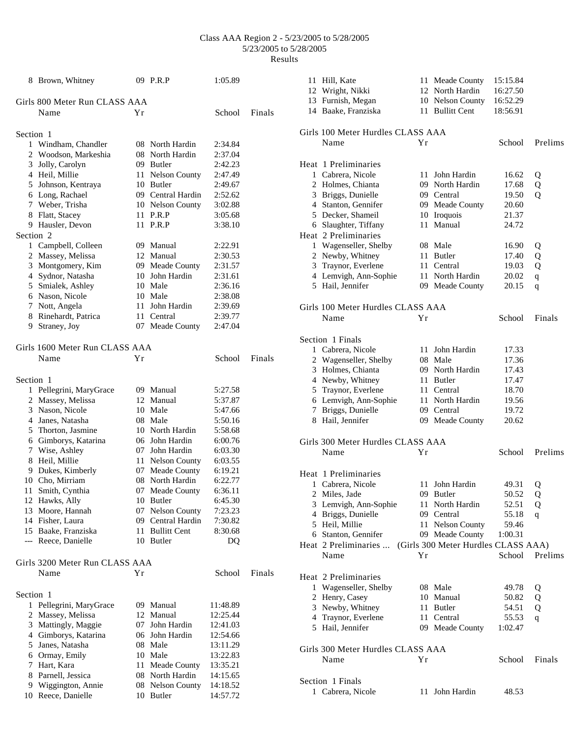|           | 8 Brown, Whitney                     |    | 09 P.R.P                              | 1:05.89            |        |
|-----------|--------------------------------------|----|---------------------------------------|--------------------|--------|
|           | Girls 800 Meter Run CLASS AAA        |    |                                       |                    |        |
|           | Name                                 | Υr |                                       | School             | Finals |
| Section 1 |                                      |    |                                       |                    |        |
|           | 1 Windham, Chandler                  |    | 08 North Hardin                       | 2:34.84            |        |
|           | 2 Woodson, Markeshia                 |    | 08 North Hardin                       | 2:37.04            |        |
|           | 3 Jolly, Carolyn                     |    | 09 Butler                             | 2:42.23            |        |
|           | 4 Heil, Millie                       |    | 11 Nelson County                      | 2:47.49            |        |
|           | 5 Johnson, Kentraya                  |    | 10 Butler                             | 2:49.67            |        |
|           | 6 Long, Rachael                      |    | 09 Central Hardin                     | 2:52.62            |        |
|           | 7 Weber, Trisha                      |    | 10 Nelson County                      | 3:02.88            |        |
|           | 8 Flatt, Stacey                      |    | 11 P.R.P                              | 3:05.68            |        |
|           | 9 Hausler, Devon                     |    | 11 P.R.P                              | 3:38.10            |        |
| Section 2 |                                      |    |                                       |                    |        |
|           | 1 Campbell, Colleen                  |    | 09 Manual                             | 2:22.91            |        |
|           | 2 Massey, Melissa                    |    | 12 Manual                             | 2:30.53            |        |
|           | 3 Montgomery, Kim                    |    | 09 Meade County                       | 2:31.57            |        |
|           | 4 Sydnor, Natasha                    |    | 10 John Hardin                        | 2:31.61            |        |
|           | 5 Smialek, Ashley                    |    | 10 Male                               | 2:36.16            |        |
|           | 6 Nason, Nicole                      |    | 10 Male                               | 2:38.08            |        |
|           | 7 Nott, Angela                       |    | 11 John Hardin                        | 2:39.69            |        |
|           | 8 Rinehardt, Patrica                 |    | 11 Central                            | 2:39.77            |        |
|           | 9 Straney, Joy                       |    | 07 Meade County                       | 2:47.04            |        |
|           |                                      |    |                                       |                    |        |
|           | Girls 1600 Meter Run CLASS AAA       |    |                                       |                    |        |
|           | Name                                 | Υr |                                       | School             | Finals |
| Section 1 |                                      |    |                                       |                    |        |
|           | 1 Pellegrini, MaryGrace              |    | 09 Manual                             | 5:27.58            |        |
|           | 2 Massey, Melissa                    |    | 12 Manual                             | 5:37.87            |        |
|           | 3 Nason, Nicole                      |    | 10 Male                               | 5:47.66            |        |
|           | 4 Janes, Natasha                     |    | 08 Male                               | 5:50.16            |        |
|           | 5 Thorton, Jasmine                   |    | 10 North Hardin                       | 5:58.68            |        |
|           | 6 Gimborys, Katarina                 |    | 06 John Hardin                        | 6:00.76            |        |
|           | 7 Wise, Ashley                       |    | 07 John Hardin                        | 6:03.30            |        |
|           | 8 Heil, Millie                       |    | 11 Nelson County                      | 6:03.55            |        |
|           | 9 Dukes, Kimberly                    |    | 07 Meade County                       | 6:19.21            |        |
|           | 10 Cho, Mirriam                      |    | 08 North Hardin                       | 6:22.77            |        |
|           |                                      |    | 07 Meade County                       | 6:36.11            |        |
|           | 11 Smith, Cynthia<br>12 Hawks, Ally  |    |                                       | 6:45.30            |        |
|           |                                      |    | 10 Butler                             |                    |        |
|           | 13 Moore, Hannah<br>14 Fisher, Laura |    | 07 Nelson County<br>09 Central Hardin | 7:23.23            |        |
|           | 15 Baake, Franziska                  |    | 11 Bullitt Cent                       | 7:30.82<br>8:30.68 |        |
|           | --- Reece, Danielle                  |    | 10 Butler                             | DQ                 |        |
|           |                                      |    |                                       |                    |        |
|           | Girls 3200 Meter Run CLASS AAA       |    |                                       |                    |        |
|           | Name                                 | Υr |                                       | School             | Finals |
| Section 1 |                                      |    |                                       |                    |        |
|           |                                      |    | 09 Manual                             |                    |        |
|           | 1 Pellegrini, MaryGrace              |    |                                       | 11:48.89           |        |
|           | 2 Massey, Melissa                    |    | 12 Manual                             | 12:25.44           |        |
|           | 3 Mattingly, Maggie                  |    | 07 John Hardin                        | 12:41.03           |        |
|           | 4 Gimborys, Katarina                 |    | 06 John Hardin                        | 12:54.66           |        |
|           | 5 Janes, Natasha                     |    | 08 Male                               | 13:11.29           |        |
|           | 6 Ormay, Emily                       |    | 10 Male                               | 13:22.83           |        |
|           | 7 Hart, Kara                         |    | 11 Meade County                       | 13:35.21           |        |
|           | 8 Parnell, Jessica                   |    | 08 North Hardin                       | 14:15.65           |        |
|           | 9 Wiggington, Annie                  |    | 08 Nelson County                      | 14:18.52           |        |
|           | 10 Reece, Danielle                   |    | 10 Butler                             | 14:57.72           |        |

| 11 Hill, Kate                     |     | 11 Meade County                     | 15:15.84 |             |
|-----------------------------------|-----|-------------------------------------|----------|-------------|
| 12 Wright, Nikki                  |     | 12 North Hardin                     | 16:27.50 |             |
| 13 Furnish, Megan                 |     | 10 Nelson County                    | 16:52.29 |             |
| 14 Baake, Franziska               |     | 11 Bullitt Cent                     | 18:56.91 |             |
|                                   |     |                                     |          |             |
| Girls 100 Meter Hurdles CLASS AAA |     |                                     |          |             |
| Name                              | Υr  |                                     | School   | Prelims     |
|                                   |     |                                     |          |             |
| Heat 1 Preliminaries              |     |                                     |          |             |
| 1 Cabrera, Nicole                 | 11. | John Hardin                         | 16.62    | Q           |
| 2 Holmes, Chianta                 |     | 09 North Hardin                     | 17.68    | Q           |
| 3 Briggs, Dunielle                |     | 09 Central                          | 19.50    | Q           |
| 4 Stanton, Gennifer               |     | 09 Meade County                     | 20.60    |             |
| 5 Decker, Shameil                 |     | 10 Iroquois                         | 21.37    |             |
| 6 Slaughter, Tiffany              | 11  | Manual                              | 24.72    |             |
| Heat 2 Preliminaries              |     |                                     |          |             |
| 1 Wagenseller, Shelby             |     | 08 Male                             | 16.90    | Q           |
| 2 Newby, Whitney                  |     | 11 Butler                           | 17.40    | Q           |
| 3 Traynor, Everlene               |     | 11 Central                          | 19.03    | Q           |
| 4 Lemvigh, Ann-Sophie             |     | 11 North Hardin                     | 20.02    | $\mathbf q$ |
| 5 Hail, Jennifer                  |     | 09 Meade County                     | 20.15    | q           |
|                                   |     |                                     |          |             |
| Girls 100 Meter Hurdles CLASS AAA |     |                                     |          |             |
| Name                              | Υr  |                                     | School   | Finals      |
|                                   |     |                                     |          |             |
| Section 1 Finals                  |     |                                     |          |             |
| 1 Cabrera, Nicole                 |     | 11 John Hardin                      | 17.33    |             |
| 2 Wagenseller, Shelby             |     | 08 Male                             | 17.36    |             |
| 3 Holmes, Chianta                 |     | 09 North Hardin                     | 17.43    |             |
| 4 Newby, Whitney                  |     | 11 Butler                           | 17.47    |             |
| 5 Traynor, Everlene               |     | 11 Central                          | 18.70    |             |
| 6 Lemvigh, Ann-Sophie             |     | 11 North Hardin                     | 19.56    |             |
| 7 Briggs, Dunielle                |     | 09 Central                          | 19.72    |             |
| 8 Hail, Jennifer                  |     | 09 Meade County                     | 20.62    |             |
|                                   |     |                                     |          |             |
|                                   |     |                                     |          |             |
| Girls 300 Meter Hurdles CLASS AAA |     |                                     |          |             |
| Name                              | Υr  |                                     | School   | Prelims     |
|                                   |     |                                     |          |             |
| Heat 1 Preliminaries              |     |                                     |          |             |
| 1 Cabrera, Nicole                 |     | 11 John Hardin                      | 49.31    | Q           |
| 2 Miles, Jade                     |     | 09 Butler                           | 50.52    | Q           |
| 3 Lemvigh, Ann-Sophie             |     | 11 North Hardin                     | 52.51    | Q           |
| 4 Briggs, Dunielle                |     | 09 Central                          | 55.18    | q           |
| 5 Heil, Millie                    |     | 11 Nelson County                    | 59.46    |             |
| 6 Stanton, Gennifer               |     | 09 Meade County                     | 1:00.31  |             |
| Heat 2 Preliminaries              |     | (Girls 300 Meter Hurdles CLASS AAA) |          |             |
| Name                              | Υr  |                                     | School   | Prelims     |
|                                   |     |                                     |          |             |
| Heat 2 Preliminaries              |     |                                     |          |             |
| 1 Wagenseller, Shelby             |     | 08 Male                             | 49.78    | Q           |
| 2 Henry, Casey                    |     | 10 Manual                           | 50.82    | Q           |
| 3 Newby, Whitney                  |     | 11 Butler                           | 54.51    | Q           |
| 4 Traynor, Everlene               |     | 11 Central                          | 55.53    | q           |
| 5 Hail, Jennifer                  |     | 09 Meade County                     | 1:02.47  |             |
|                                   |     |                                     |          |             |
| Girls 300 Meter Hurdles CLASS AAA |     |                                     |          |             |
| Name                              | Υr  |                                     | School   | Finals      |
|                                   |     |                                     |          |             |
| Section 1 Finals                  |     |                                     |          |             |
| 1 Cabrera, Nicole                 |     | 11 John Hardin                      | 48.53    |             |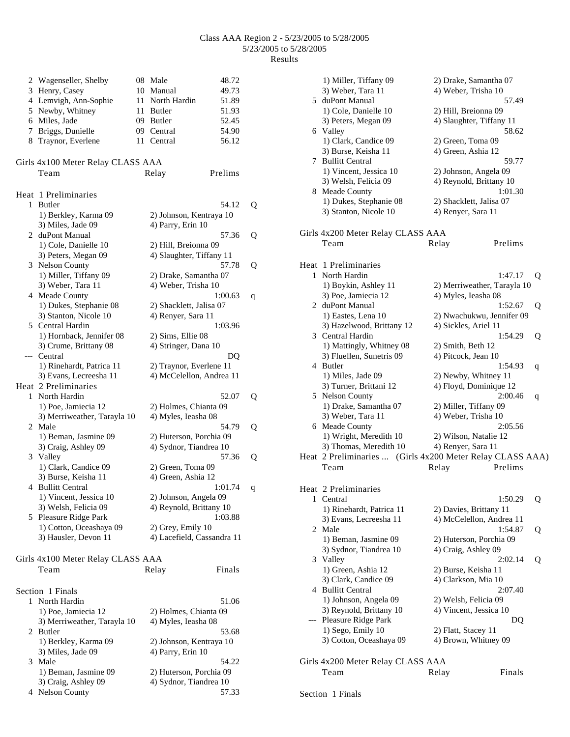|    | 2 Wagenseller, Shelby             | 08 Male                    | 48.72   |   |
|----|-----------------------------------|----------------------------|---------|---|
|    | 3 Henry, Casey                    | 10 Manual                  | 49.73   |   |
|    | 4 Lemvigh, Ann-Sophie             | 11 North Hardin            | 51.89   |   |
|    | 5 Newby, Whitney                  | 11 Butler                  | 51.93   |   |
|    | 6 Miles, Jade                     | 09 Butler                  | 52.45   |   |
|    | 7 Briggs, Dunielle                | 09 Central                 | 54.90   |   |
| 8. | Traynor, Everlene                 | 11 Central                 | 56.12   |   |
|    | Girls 4x100 Meter Relay CLASS AAA |                            |         |   |
|    | Team                              | Relay                      | Prelims |   |
|    |                                   |                            |         |   |
|    | Heat 1 Preliminaries              |                            |         |   |
|    | 1 Butler                          |                            | 54.12   | Q |
|    | 1) Berkley, Karma 09              | 2) Johnson, Kentraya 10    |         |   |
|    | 3) Miles, Jade 09                 | 4) Parry, Erin 10          |         |   |
|    | 2 duPont Manual                   |                            | 57.36   | Q |
|    | 1) Cole, Danielle 10              | 2) Hill, Breionna 09       |         |   |
|    | 3) Peters, Megan 09               | 4) Slaughter, Tiffany 11   |         |   |
|    | 3 Nelson County                   |                            | 57.78   | Q |
|    | 1) Miller, Tiffany 09             | 2) Drake, Samantha 07      |         |   |
|    | 3) Weber, Tara 11                 | 4) Weber, Trisha 10        |         |   |
|    | 4 Meade County                    |                            | 1:00.63 | q |
|    | 1) Dukes, Stephanie 08            | 2) Shacklett, Jalisa 07    |         |   |
|    | 3) Stanton, Nicole 10             | 4) Renyer, Sara 11         |         |   |
|    | 5 Central Hardin                  |                            | 1:03.96 |   |
|    | 1) Hornback, Jennifer 08          | 2) Sims, Ellie 08          |         |   |
|    | 3) Crume, Brittany 08             | 4) Stringer, Dana 10       |         |   |
|    | --- Central                       |                            | DQ      |   |
|    | 1) Rinehardt, Patrica 11          | 2) Traynor, Everlene 11    |         |   |
|    | 3) Evans, Lecreesha 11            | 4) McCelellon, Andrea 11   |         |   |
|    | Heat 2 Preliminaries              |                            |         |   |
|    | 1 North Hardin                    |                            | 52.07   | Q |
|    | 1) Poe, Jamiecia 12               | 2) Holmes, Chianta 09      |         |   |
|    | 3) Merriweather, Tarayla 10       | 4) Myles, Ieasha 08        |         |   |
|    | 2 Male                            |                            | 54.79   | Q |
|    | 1) Beman, Jasmine 09              | 2) Huterson, Porchia 09    |         |   |
|    | 3) Craig, Ashley 09               | 4) Sydnor, Tiandrea 10     |         |   |
|    | 3 Valley                          |                            | 57.36   | Q |
|    | 1) Clark, Candice 09              | 2) Green, Toma 09          |         |   |
|    | 3) Burse, Keisha 11               | 4) Green, Ashia 12         |         |   |
| 4  | <b>Bullitt Central</b>            |                            | 1:01.74 | q |
|    | 1) Vincent, Jessica 10            | 2) Johnson, Angela 09      |         |   |
|    | 3) Welsh, Felicia 09              | 4) Reynold, Brittany 10    |         |   |
| 5. | Pleasure Ridge Park               |                            | 1:03.88 |   |
|    | 1) Cotton, Oceashaya 09           | 2) Grey, Emily 10          |         |   |
|    | 3) Hausler, Devon 11              | 4) Lacefield, Cassandra 11 |         |   |
|    |                                   |                            |         |   |
|    | Girls 4x100 Meter Relay CLASS AAA |                            |         |   |
|    | Team                              | Relay                      | Finals  |   |
|    |                                   |                            |         |   |
|    | Section 1 Finals                  |                            |         |   |
| 1  | North Hardin                      |                            | 51.06   |   |
|    | 1) Poe, Jamiecia 12               | 2) Holmes, Chianta 09      |         |   |
|    | 3) Merriweather, Tarayla 10       | 4) Myles, Ieasha 08        |         |   |
|    | 2 Butler                          |                            | 53.68   |   |
|    | 1) Berkley, Karma 09              | 2) Johnson, Kentraya 10    |         |   |
|    |                                   |                            |         |   |
| 3  | 3) Miles, Jade 09<br>Male         | 4) Parry, Erin 10          | 54.22   |   |
|    |                                   |                            |         |   |
|    | 1) Beman, Jasmine 09              | 2) Huterson, Porchia 09    |         |   |
|    | 3) Craig, Ashley 09               | 4) Sydnor, Tiandrea 10     |         |   |
| 4  | <b>Nelson County</b>              |                            | 57.33   |   |

|   | 1) Miller, Tiffany 09                     | 2) Drake, Samantha 07               |   |
|---|-------------------------------------------|-------------------------------------|---|
|   | 3) Weber, Tara 11                         | 4) Weber, Trisha 10                 |   |
|   | 5 duPont Manual                           | 57.49                               |   |
|   | 1) Cole, Danielle 10                      | 2) Hill, Breionna 09                |   |
|   | 3) Peters, Megan 09<br>6 Valley           | 4) Slaughter, Tiffany 11<br>58.62   |   |
|   | 1) Clark, Candice 09                      | 2) Green, Toma 09                   |   |
|   | 3) Burse, Keisha 11                       | 4) Green, Ashia 12                  |   |
|   | 7 Bullitt Central                         | 59.77                               |   |
|   | 1) Vincent, Jessica 10                    | 2) Johnson, Angela 09               |   |
|   | 3) Welsh, Felicia 09                      | 4) Reynold, Brittany 10             |   |
| 8 | Meade County                              | 1:01.30                             |   |
|   | 1) Dukes, Stephanie 08                    | 2) Shacklett, Jalisa 07             |   |
|   | 3) Stanton, Nicole 10                     | 4) Renyer, Sara 11                  |   |
|   |                                           |                                     |   |
|   | Girls 4x200 Meter Relay CLASS AAA<br>Team | Prelims<br>Relay                    |   |
|   |                                           |                                     |   |
|   | Heat 1 Preliminaries                      |                                     |   |
|   | 1 North Hardin                            | 1:47.17                             | Q |
|   | 1) Boykin, Ashley 11                      | 2) Merriweather, Tarayla 10         |   |
|   | 3) Poe, Jamiecia 12                       | 4) Myles, Ieasha 08                 |   |
|   | 2 duPont Manual                           | 1:52.67                             | Q |
|   | 1) Eastes, Lena 10                        | 2) Nwachukwu, Jennifer 09           |   |
|   | 3) Hazelwood, Brittany 12                 | 4) Sickles, Ariel 11                |   |
|   | 3 Central Hardin                          | 1:54.29                             | Q |
|   | 1) Mattingly, Whitney 08                  | 2) Smith, Beth 12                   |   |
|   | 3) Fluellen, Sunetris 09                  | 4) Pitcock, Jean 10                 |   |
|   | 4 Butler<br>1) Miles, Jade 09             | 1:54.93<br>2) Newby, Whitney 11     | q |
|   | 3) Turner, Brittani 12                    | 4) Floyd, Dominique 12              |   |
|   | 5 Nelson County                           | 2:00.46                             | q |
|   | 1) Drake, Samantha 07                     | 2) Miller, Tiffany 09               |   |
|   | 3) Weber, Tara 11                         | 4) Weber, Trisha 10                 |   |
| 6 | Meade County                              | 2:05.56                             |   |
|   | 1) Wright, Meredith 10                    | 2) Wilson, Natalie 12               |   |
|   | 3) Thomas, Meredith 10                    | 4) Renyer, Sara 11                  |   |
|   | Heat 2 Preliminaries                      | (Girls 4x200 Meter Relay CLASS AAA) |   |
|   | Team                                      | Prelims<br>Relay                    |   |
|   |                                           |                                     |   |
| 1 | Heat 2 Preliminaries<br>Central           | 1:50.29                             |   |
|   | 1) Rinehardt, Patrica 11                  | 2) Davies, Brittany 11              | Q |
|   | 3) Evans, Lecreesha 11                    | 4) McCelellon, Andrea 11            |   |
|   | 2 Male                                    | 1:54.87                             | Q |
|   | 1) Beman, Jasmine 09                      | 2) Huterson, Porchia 09             |   |
|   | 3) Sydnor, Tiandrea 10                    | 4) Craig, Ashley 09                 |   |
| 3 | Valley                                    | 2:02.14                             | Q |
|   | 1) Green, Ashia 12                        | 2) Burse, Keisha 11                 |   |
|   | 3) Clark, Candice 09                      | 4) Clarkson, Mia 10                 |   |
| 4 | <b>Bullitt Central</b>                    | 2:07.40                             |   |
|   | 1) Johnson, Angela 09                     | 2) Welsh, Felicia 09                |   |
|   | 3) Reynold, Brittany 10                   | 4) Vincent, Jessica 10              |   |
|   | Pleasure Ridge Park<br>1) Sego, Emily 10  | DQ<br>2) Flatt, Stacey 11           |   |
|   | 3) Cotton, Oceashaya 09                   | 4) Brown, Whitney 09                |   |
|   |                                           |                                     |   |
|   | Girls 4x200 Meter Relay CLASS AAA         |                                     |   |
|   | Team                                      | Finals<br>Relay                     |   |
|   |                                           |                                     |   |

# Section 1 Finals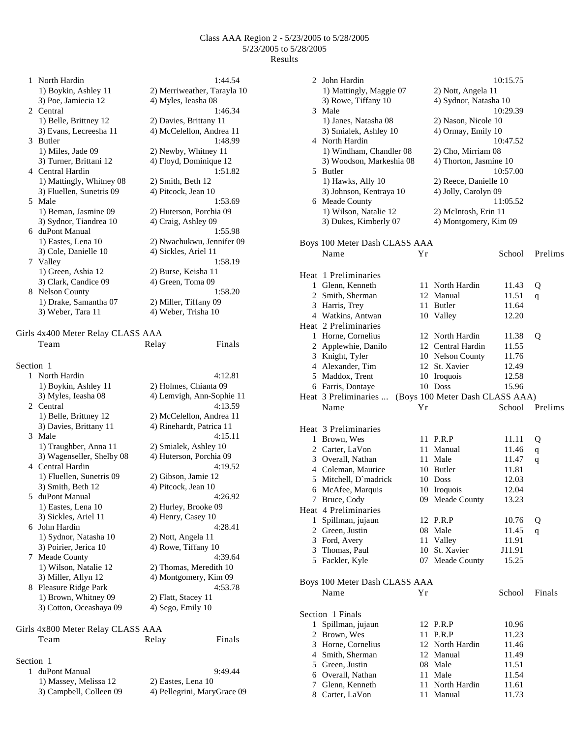1 North Hardin 1:44.54 1) Boykin, Ashley 11 2) Merriweather, Tarayla 10 3) Poe, Jamiecia 12 4) Myles, Ieasha 08 2 Central 1:46.34 1) Belle, Brittney 12 2) Davies, Brittany 11 3) Evans, Lecreesha 11 4) McCelellon, Andrea 11 3 Butler 1:48.99 1) Miles, Jade 09 2) Newby, Whitney 11 3) Turner, Brittani 12 4) Floyd, Dominique 12 4 Central Hardin 1:51.82 1) Mattingly, Whitney 08 2) Smith, Beth 12 3) Fluellen, Sunetris 09 4) Pitcock, Jean 10 5 Male 1:53.69 1) Beman, Jasmine 09 2) Huterson, Porchia 09 3) Sydnor, Tiandrea 10 4) Craig, Ashley 09 6 duPont Manual 1:55.98 1) Eastes, Lena 10 2) Nwachukwu, Jennifer 09 3) Cole, Danielle 10 4) Sickles, Ariel 11 7 Valley 1:58.19 1) Green, Ashia 12 2) Burse, Keisha 11 3) Clark, Candice 09 4) Green, Toma 09 8 Nelson County 1:58.20 1) Drake, Samantha 07 2) Miller, Tiffany 09 3) Weber, Tara 11 4) Weber, Trisha 10 Girls 4x400 Meter Relay CLASS AAA Team Relay Finals Section 1 1 North Hardin 4:12.81 1) Boykin, Ashley 11 2) Holmes, Chianta 09<br>3) Myles, Ieasha 08 4) Lemvigh, Ann-Soph 4) Lemvigh, Ann-Sophie 11<br> $4:13.59$ 2. Central 1) Belle, Brittney 12 2) McCelellon, Andrea 11<br>3) Davies. Brittany 11 4) Rinehardt. Patrica 11 3) Davies, Brittany 11 3 Male 4:15.11 1) Traughber, Anna 11 2) Smialek, Ashley 10 3) Wagenseller, Shelby 08 4) Huterson, Porchia 09 4 Central Hardin 4:19.52 1) Fluellen, Sunetris 09 2) Gibson, Jamie 12 3) Smith, Beth 12 4) Pitcock, Jean 10 5 duPont Manual 4:26.92 1) Eastes, Lena 10 2) Hurley, Brooke 09 3) Sickles, Ariel 11 4) Henry, Casey 10 6 John Hardin 4:28.41 1) Sydnor, Natasha 10 2) Nott, Angela 11 3) Poirier, Jerica 10 4) Rowe, Tiffany 10 7 Meade County 4:39.64 1) Wilson, Natalie 12 2) Thomas, Meredith 10 3) Miller, Allyn 12 4) Montgomery, Kim 09 8 Pleasure Ridge Park 4:53.78 1) Brown, Whitney 09 2) Flatt, Stacey 11 3) Cotton, Oceashaya 09 4) Sego, Emily 10 Girls 4x800 Meter Relay CLASS AAA Team Relay Finals Section 1

| 1 duPont Manual         | 9:49.44                     |
|-------------------------|-----------------------------|
| 1) Massey, Melissa 12   | 2) Eastes, Lena 10          |
| 3) Campbell, Colleen 09 | 4) Pellegrini, MaryGrace 09 |

|   | 2 John Hardin                           |           |                                               | 10:15.75       |             |
|---|-----------------------------------------|-----------|-----------------------------------------------|----------------|-------------|
|   | 1) Mattingly, Maggie 07                 |           | 2) Nott, Angela 11                            |                |             |
|   | 3) Rowe, Tiffany 10                     |           | 4) Sydnor, Natasha 10                         |                |             |
|   | 3 Male                                  |           |                                               | 10:29.39       |             |
|   | 1) Janes, Natasha 08                    |           | 2) Nason, Nicole 10<br>4) Ormay, Emily 10     |                |             |
|   | 3) Smialek, Ashley 10<br>4 North Hardin |           |                                               | 10:47.52       |             |
|   | 1) Windham, Chandler 08                 |           | 2) Cho, Mirriam 08                            |                |             |
|   | 3) Woodson, Markeshia 08                |           | 4) Thorton, Jasmine 10                        |                |             |
|   | 5 Butler                                |           |                                               | 10:57.00       |             |
|   | 1) Hawks, Ally 10                       |           | 2) Reece, Danielle 10                         |                |             |
|   | 3) Johnson, Kentraya 10                 |           | 4) Jolly, Carolyn 09                          |                |             |
|   | 6 Meade County<br>1) Wilson, Natalie 12 |           |                                               | 11:05.52       |             |
|   | 3) Dukes, Kimberly 07                   |           | 2) McIntosh, Erin 11<br>4) Montgomery, Kim 09 |                |             |
|   |                                         |           |                                               |                |             |
|   | Boys 100 Meter Dash CLASS AAA           |           |                                               |                |             |
|   | Name                                    | Yr        |                                               | School         | Prelims     |
|   |                                         |           |                                               |                |             |
|   | Heat 1 Preliminaries                    |           |                                               |                |             |
|   | 1 Glenn, Kenneth                        | 11        | North Hardin                                  | 11.43          | Q           |
|   | 2 Smith, Sherman                        |           | 12 Manual                                     | 11.51          | q           |
|   | 3 Harris, Trey<br>4 Watkins, Antwan     |           | 11 Butler<br>10 Valley                        | 11.64<br>12.20 |             |
|   | Heat 2 Preliminaries                    |           |                                               |                |             |
|   | 1 Horne, Cornelius                      |           | 12 North Hardin                               | 11.38          | Q           |
|   | 2 Applewhie, Danilo                     |           | 12 Central Hardin                             | 11.55          |             |
|   | 3 Knight, Tyler                         |           | 10 Nelson County                              | 11.76          |             |
|   | 4 Alexander, Tim                        |           | 12 St. Xavier                                 | 12.49          |             |
|   | 5 Maddox, Trent                         |           | 10 Iroquois                                   | 12.58          |             |
|   | 6 Farris, Dontaye                       |           | 10 Doss                                       | 15.96          |             |
|   | Heat 3 Preliminaries                    |           | (Boys 100 Meter Dash CLASS AAA)               |                |             |
|   | Name                                    | Υr        |                                               | School         | Prelims     |
|   | Heat 3 Preliminaries                    |           |                                               |                |             |
|   | 1 Brown, Wes                            |           | 11 P.R.P                                      | 11.11          | Q           |
|   | 2 Carter, LaVon                         |           | 11 Manual                                     | 11.46          | $\mathbf q$ |
|   | 3 Overall, Nathan                       | 11        | Male                                          | 11.47          | q           |
|   | 4 Coleman, Maurice                      |           | 10 Butler                                     | 11.81          |             |
|   | 5 Mitchell, D'madrick                   |           | 10 Doss                                       | 12.03          |             |
|   | 6 McAfee, Marquis<br>7 Bruce, Cody      |           | 10 Iroquois<br>09 Meade County                | 12.04<br>13.23 |             |
|   | Heat 4 Preliminaries                    |           |                                               |                |             |
| 1 | Spillman, jujaun                        |           | 12 P.R.P                                      | 10.76          | Q           |
|   | 2 Green, Justin                         | 08        | Male                                          | 11.45          | q           |
|   | 3 Ford, Avery                           | 11        | Valley                                        | 11.91          |             |
|   | 3 Thomas, Paul                          | 10        | St. Xavier                                    | J11.91         |             |
|   | 5 Fackler, Kyle                         |           | 07 Meade County                               | 15.25          |             |
|   |                                         |           |                                               |                |             |
|   | Boys 100 Meter Dash CLASS AAA<br>Name   | Yr        |                                               | School         | Finals      |
|   |                                         |           |                                               |                |             |
|   | Section 1 Finals                        |           |                                               |                |             |
| 1 | Spillman, jujaun                        |           | 12 P.R.P                                      | 10.96          |             |
|   | 2 Brown, Wes                            | 11        | P.R.P                                         | 11.23          |             |
|   | 3 Horne, Cornelius                      |           | 12 North Hardin                               | 11.46          |             |
|   | 4 Smith, Sherman                        |           | 12 Manual                                     | 11.49          |             |
|   | 5 Green, Justin                         |           | 08 Male                                       | 11.51          |             |
|   | 6 Overall, Nathan<br>7 Glenn, Kenneth   | 11<br>11- | Male<br>North Hardin                          | 11.54<br>11.61 |             |
|   | 8 Carter, LaVon                         |           | 11 Manual                                     | 11.73          |             |
|   |                                         |           |                                               |                |             |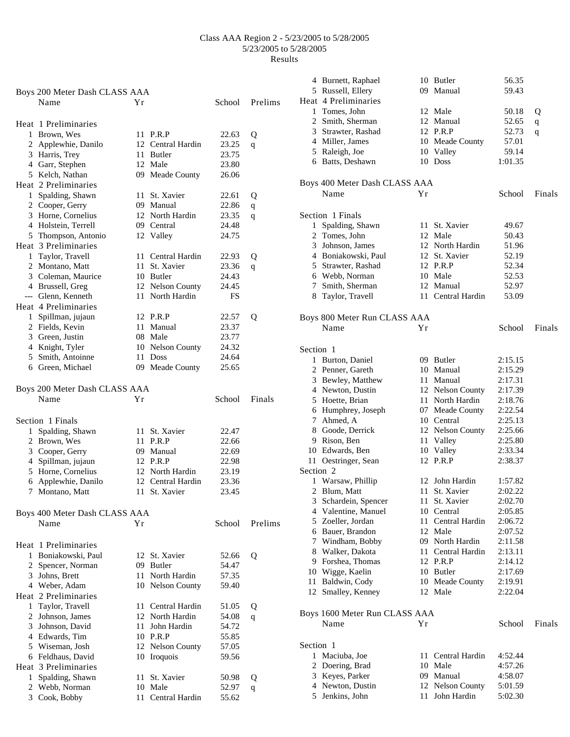|              | Boys 200 Meter Dash CLASS AAA         |      |                             |        |         |
|--------------|---------------------------------------|------|-----------------------------|--------|---------|
|              | Name                                  | Υr   |                             | School | Prelims |
|              | Heat 1 Preliminaries                  |      |                             |        |         |
|              | 1 Brown, Wes                          |      | 11 P.R.P                    | 22.63  | Q       |
|              | 2 Applewhie, Danilo                   |      | 12 Central Hardin           | 23.25  | q       |
|              | 3 Harris, Trey                        |      | 11 Butler                   | 23.75  |         |
|              | 4 Garr, Stephen                       |      | 12 Male                     | 23.80  |         |
|              | 5 Kelch, Nathan                       |      | 09 Meade County             | 26.06  |         |
|              | Heat 2 Preliminaries                  |      |                             |        |         |
|              | 1 Spalding, Shawn                     |      | 11 St. Xavier               | 22.61  | Q       |
|              | 2 Cooper, Gerry                       |      | 09 Manual                   | 22.86  | q       |
|              | 3 Horne, Cornelius                    |      | 12 North Hardin             | 23.35  | q       |
|              | 4 Holstein, Terrell                   |      | 09 Central                  | 24.48  |         |
|              | 5 Thompson, Antonio                   |      | 12 Valley                   | 24.75  |         |
|              | Heat 3 Preliminaries                  |      |                             |        |         |
|              | 1 Taylor, Travell                     |      | 11 Central Hardin           | 22.93  | Q       |
|              | 2 Montano, Matt                       |      | 11 St. Xavier               | 23.36  | q       |
|              | 3 Coleman, Maurice                    |      | 10 Butler                   | 24.43  |         |
|              | 4 Brussell, Greg                      |      | 12 Nelson County            | 24.45  |         |
|              | --- Glenn, Kenneth                    |      | 11 North Hardin             | FS     |         |
|              | Heat 4 Preliminaries                  |      |                             |        |         |
|              |                                       |      | 12 P.R.P                    | 22.57  |         |
|              | 1 Spillman, jujaun<br>2 Fields, Kevin |      | 11 Manual                   | 23.37  | Q       |
|              | 3 Green, Justin                       |      | 08 Male                     | 23.77  |         |
|              |                                       |      |                             | 24.32  |         |
|              | 4 Knight, Tyler<br>5 Smith, Antoinne  |      | 10 Nelson County<br>11 Doss |        |         |
|              |                                       |      |                             | 24.64  |         |
|              | 6 Green, Michael                      |      | 09 Meade County             | 25.65  |         |
|              | Boys 200 Meter Dash CLASS AAA         |      |                             |        |         |
|              | Name                                  | Υr   |                             | School | Finals  |
|              |                                       |      |                             |        |         |
|              | Section 1 Finals                      |      |                             |        |         |
| $\mathbf{1}$ | Spalding, Shawn                       |      | 11 St. Xavier               | 22.47  |         |
|              | 2 Brown, Wes                          | 11   | P.R.P                       | 22.66  |         |
|              | 3 Cooper, Gerry                       |      | 09 Manual                   | 22.69  |         |
|              | 4 Spillman, jujaun                    |      | 12 P.R.P                    | 22.98  |         |
|              | 5 Horne, Cornelius                    |      | 12 North Hardin             | 23.19  |         |
|              | 6 Applewhie, Danilo                   |      | 12 Central Hardin           | 23.36  |         |
| 7            | Montano, Matt                         | 11 - | St. Xavier                  | 23.45  |         |
|              |                                       |      |                             |        |         |
|              | Boys 400 Meter Dash CLASS AAA         |      |                             |        |         |
|              | Name                                  | Υr   |                             | School | Prelims |
|              |                                       |      |                             |        |         |
|              | Heat 1 Preliminaries                  |      |                             |        |         |
|              | 1 Boniakowski, Paul                   |      | 12 St. Xavier               | 52.66  | Q       |
|              | 2 Spencer, Norman                     | 09   | Butler                      | 54.47  |         |
|              | 3 Johns, Brett                        | 11   | North Hardin                | 57.35  |         |
|              | 4 Weber, Adam                         |      | 10 Nelson County            | 59.40  |         |
|              | Heat 2 Preliminaries                  |      |                             |        |         |
|              | 1 Taylor, Travell                     | 11   | Central Hardin              | 51.05  | Q       |
|              | 2 Johnson, James                      |      | 12 North Hardin             | 54.08  | q       |
|              | 3 Johnson, David                      | 11   | John Hardin                 | 54.72  |         |
|              | 4 Edwards, Tim                        |      | 10 P.R.P                    | 55.85  |         |
|              | 5 Wiseman, Josh                       |      | 12 Nelson County            | 57.05  |         |
|              | 6 Feldhaus, David                     | 10   | Iroquois                    | 59.56  |         |
|              | Heat 3 Preliminaries                  |      |                             |        |         |
| 1            | Spalding, Shawn                       | 11   | St. Xavier                  | 50.98  | Q       |
|              | 2 Webb, Norman                        | 10   | Male                        | 52.97  | q       |
|              | 3 Cook, Bobby                         | 11 - | Central Hardin              | 55.62  |         |

|                      | 4 Burnett, Raphael            |      | 10 Butler         | 56.35   |        |
|----------------------|-------------------------------|------|-------------------|---------|--------|
|                      | 5 Russell, Ellery             |      | 09 Manual         | 59.43   |        |
|                      | Heat 4 Preliminaries          |      |                   |         |        |
|                      | 1 Tomes, John                 |      | 12 Male           | 50.18   | Q      |
|                      | 2 Smith, Sherman              |      | 12 Manual         | 52.65   | q      |
|                      | 3 Strawter, Rashad            |      | 12 P.R.P          | 52.73   | q      |
|                      | 4 Miller, James               |      | 10 Meade County   | 57.01   |        |
|                      | 5 Raleigh, Joe                |      | 10 Valley         | 59.14   |        |
|                      | 6 Batts, Deshawn              |      | 10 Doss           | 1:01.35 |        |
|                      |                               |      |                   |         |        |
|                      | Boys 400 Meter Dash CLASS AAA |      |                   |         |        |
|                      | Name                          | Υr   |                   | School  | Finals |
|                      |                               |      |                   |         |        |
|                      | Section 1 Finals              |      |                   |         |        |
| 1                    | Spalding, Shawn               |      | 11 St. Xavier     | 49.67   |        |
|                      | 2 Tomes, John                 |      | 12 Male           | 50.43   |        |
|                      | 3 Johnson, James              |      | 12 North Hardin   | 51.96   |        |
|                      | 4 Boniakowski, Paul           |      | 12 St. Xavier     | 52.19   |        |
|                      | 5 Strawter, Rashad            |      | 12 P.R.P          | 52.34   |        |
|                      | 6 Webb, Norman                |      | 10 Male           | 52.53   |        |
|                      | 7 Smith, Sherman              |      | 12 Manual         | 52.97   |        |
|                      | 8 Taylor, Travell             |      | 11 Central Hardin | 53.09   |        |
|                      |                               |      |                   |         |        |
|                      | Boys 800 Meter Run CLASS AAA  |      |                   |         |        |
|                      | Name                          | Υr   |                   | School  | Finals |
| Section 1            |                               |      |                   |         |        |
|                      | 1 Burton, Daniel              |      | 09 Butler         | 2:15.15 |        |
|                      | 2 Penner, Gareth              |      | 10 Manual         | 2:15.29 |        |
|                      | 3 Bewley, Matthew             |      | 11 Manual         | 2:17.31 |        |
|                      | 4 Newton, Dustin              |      | 12 Nelson County  | 2:17.39 |        |
|                      | 5 Hoette, Brian               |      | 11 North Hardin   | 2:18.76 |        |
|                      | 6 Humphrey, Joseph            |      | 07 Meade County   | 2:22.54 |        |
|                      | 7 Ahmed, A                    |      | 10 Central        | 2:25.13 |        |
|                      | 8 Goode, Derrick              |      | 12 Nelson County  | 2:25.66 |        |
|                      | 9 Rison, Ben                  |      | 11 Valley         | 2:25.80 |        |
|                      | 10 Edwards, Ben               |      |                   | 2:33.34 |        |
|                      |                               |      | 10 Valley         |         |        |
| Section <sub>2</sub> | 11 Oestringer, Sean           |      | 12 P.R.P          | 2:38.37 |        |
|                      | 1 Warsaw, Phillip             |      | 12 John Hardin    | 1:57.82 |        |
|                      |                               |      |                   |         |        |
|                      | 2 Blum, Matt                  |      | 11 St. Xavier     | 2:02.22 |        |
|                      | 3 Schardein, Spencer          | 11 - | St. Xavier        | 2:02.70 |        |
|                      | 4 Valentine, Manuel           |      | 10 Central        | 2:05.85 |        |
|                      | 5 Zoeller, Jordan             |      | 11 Central Hardin | 2:06.72 |        |
|                      | 6 Bauer, Brandon              |      | 12 Male           | 2:07.52 |        |
|                      | 7 Windham, Bobby              |      | 09 North Hardin   | 2:11.58 |        |
|                      | 8 Walker, Dakota              |      | 11 Central Hardin | 2:13.11 |        |
|                      | 9 Forshea, Thomas             |      | 12 P.R.P          | 2:14.12 |        |
|                      | 10 Wigge, Kaelin              |      | 10 Butler         | 2:17.69 |        |
|                      | 11 Baldwin, Cody              |      | 10 Meade County   | 2:19.91 |        |
|                      | 12 Smalley, Kenney            |      | 12 Male           | 2:22.04 |        |
|                      | Boys 1600 Meter Run CLASS AAA |      |                   |         |        |
|                      | Name                          | Yr   |                   | School  | Finals |
|                      |                               |      |                   |         |        |
| Section 1            |                               |      |                   |         |        |
| 1                    | Maciuba, Joe                  |      | 11 Central Hardin | 4:52.44 |        |
|                      | 2 Doering, Brad               |      | 10 Male           | 4:57.26 |        |
|                      | 3 Keyes, Parker               |      | 09 Manual         | 4:58.07 |        |
|                      | 4 Newton, Dustin              |      | 12 Nelson County  | 5:01.59 |        |
|                      | 5 Jenkins, John               |      | 11 John Hardin    | 5:02.30 |        |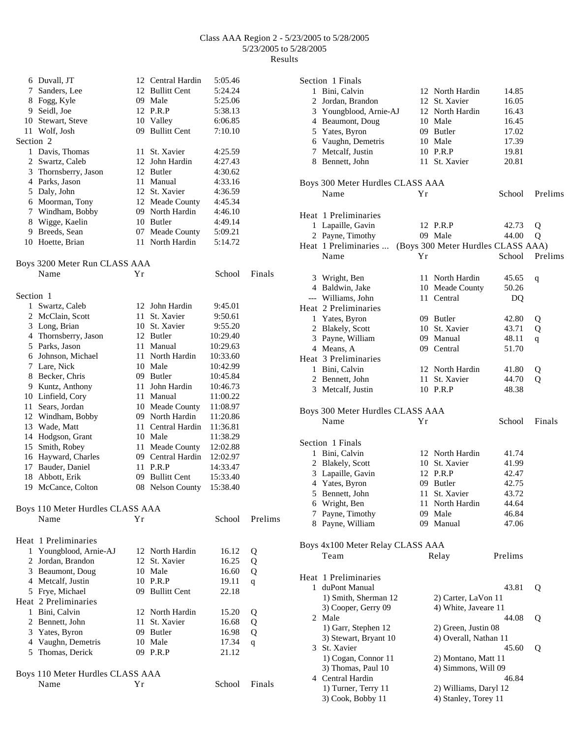|           | 6 Duvall, JT                     |    | 12 Central Hardin | 5:05.46  |          |
|-----------|----------------------------------|----|-------------------|----------|----------|
| 7         | Sanders, Lee                     |    | 12 Bullitt Cent   | 5:24.24  |          |
|           | 8 Fogg, Kyle                     |    | 09 Male           | 5:25.06  |          |
|           | 9 Seidl, Joe                     |    | 12 P.R.P          | 5:38.13  |          |
|           | 10 Stewart, Steve                |    | 10 Valley         | 6:06.85  |          |
|           | 11 Wolf, Josh                    |    | 09 Bullitt Cent   | 7:10.10  |          |
| Section 2 |                                  |    |                   |          |          |
|           | 1 Davis, Thomas                  |    | 11 St. Xavier     | 4:25.59  |          |
|           | 2 Swartz, Caleb                  |    | 12 John Hardin    | 4:27.43  |          |
|           | 3 Thornsberry, Jason             |    | 12 Butler         | 4:30.62  |          |
|           | 4 Parks, Jason                   |    | 11 Manual         | 4:33.16  |          |
|           | 5 Daly, John                     |    | 12 St. Xavier     | 4:36.59  |          |
|           | 6 Moorman, Tony                  |    | 12 Meade County   | 4:45.34  |          |
|           | 7 Windham, Bobby                 |    | 09 North Hardin   | 4:46.10  |          |
|           | 8 Wigge, Kaelin                  |    | 10 Butler         | 4:49.14  |          |
|           | 9 Breeds, Sean                   |    | 07 Meade County   | 5:09.21  |          |
|           | 10 Hoette, Brian                 |    | 11 North Hardin   | 5:14.72  |          |
|           |                                  |    |                   |          |          |
|           | Boys 3200 Meter Run CLASS AAA    |    |                   |          |          |
|           | Name                             | Υr |                   | School   | Finals   |
| Section 1 |                                  |    |                   |          |          |
|           | 1 Swartz, Caleb                  |    | 12 John Hardin    | 9:45.01  |          |
|           | 2 McClain, Scott                 |    | 11 St. Xavier     | 9:50.61  |          |
|           | 3 Long, Brian                    |    | 10 St. Xavier     | 9:55.20  |          |
|           | 4 Thornsberry, Jason             |    | 12 Butler         | 10:29.40 |          |
|           | 5 Parks, Jason                   |    | 11 Manual         | 10:29.63 |          |
|           | 6 Johnson, Michael               |    | 11 North Hardin   | 10:33.60 |          |
|           | 7 Lare, Nick                     |    | 10 Male           | 10:42.99 |          |
|           | 8 Becker, Chris                  |    | 09 Butler         | 10:45.84 |          |
|           | 9 Kuntz, Anthony                 |    | 11 John Hardin    | 10:46.73 |          |
|           | 10 Linfield, Cory                |    | 11 Manual         | 11:00.22 |          |
|           | 11 Sears, Jordan                 |    | 10 Meade County   | 11:08.97 |          |
|           | 12 Windham, Bobby                |    | 09 North Hardin   | 11:20.86 |          |
|           | 13 Wade, Matt                    |    | 11 Central Hardin | 11:36.81 |          |
|           | 14 Hodgson, Grant                |    | 10 Male           | 11:38.29 |          |
|           | 15 Smith, Robey                  |    | 11 Meade County   | 12:02.88 |          |
|           | 16 Hayward, Charles              |    | 09 Central Hardin | 12:02.97 |          |
| 17        | Bauder, Daniel                   |    | 11 P.R.P          | 14:33.47 |          |
| 18        | Abbott, Erik                     |    | 09 Bullitt Cent   | 15:33.40 |          |
|           | 19 McCance, Colton               |    | 08 Nelson County  | 15:38.40 |          |
|           | Boys 110 Meter Hurdles CLASS AAA |    |                   |          |          |
|           | Name                             | Υr |                   | School   | Prelims  |
|           |                                  |    |                   |          |          |
|           | Heat 1 Preliminaries             |    |                   |          |          |
|           | 1 Youngblood, Arnie-AJ           |    | 12 North Hardin   | 16.12    | Q        |
|           | 2 Lordan Brandon                 |    | $12$ St Yavier    | 16.25    | $\Omega$ |

|   | 2 Jordan, Brandon    |     | 12 St. Xavier   | 16.25 | Q |
|---|----------------------|-----|-----------------|-------|---|
| 3 | Beaumont, Doug       |     | 10 Male         | 16.60 | Q |
|   | 4 Metcalf, Justin    |     | 10 P.R.P        | 19.11 | q |
|   | 5 Frye, Michael      |     | 09 Bullitt Cent | 22.18 |   |
|   | Heat 2 Preliminaries |     |                 |       |   |
| 1 | Bini, Calvin         |     | 12 North Hardin | 15.20 | Q |
|   | 2 Bennett, John      |     | 11 St. Xavier   | 16.68 | Q |
|   | 3 Yates, Byron       | 09. | Butler          | 16.98 | Q |
|   | 4 Vaughn, Demetris   |     | 10 Male         | 17.34 | q |
|   | 5 Thomas, Derick     | 09. | P.R.P           | 21.12 |   |
|   |                      |     |                 |       |   |
|   |                      |     |                 |       |   |

| Boys 110 Meter Hurdles CLASS AAA |                |               |  |
|----------------------------------|----------------|---------------|--|
| Name                             | $\mathbf{v}$ r | School Finals |  |

|   | Section 1 Finals                           |    |                                    |                |         |
|---|--------------------------------------------|----|------------------------------------|----------------|---------|
|   | 1 Bini, Calvin                             |    | 12 North Hardin                    | 14.85          |         |
|   | 2 Jordan, Brandon                          |    | 12 St. Xavier                      | 16.05          |         |
|   | 3 Youngblood, Arnie-AJ                     |    | 12 North Hardin                    | 16.43          |         |
|   | 4 Beaumont, Doug                           |    | 10 Male                            | 16.45          |         |
|   | 5 Yates, Byron                             |    | 09 Butler                          | 17.02          |         |
|   | 6 Vaughn, Demetris                         |    | 10 Male                            | 17.39          |         |
|   | 7 Metcalf, Justin                          |    | 10 P.R.P                           | 19.81          |         |
|   | 8 Bennett, John                            |    | 11 St. Xavier                      | 20.81          |         |
|   | Boys 300 Meter Hurdles CLASS AAA           |    |                                    |                |         |
|   | Name                                       | Υr |                                    | School         | Prelims |
|   | Heat 1 Preliminaries                       |    |                                    |                |         |
|   | 1 Lapaille, Gavin                          |    | 12 P.R.P                           | 42.73          | Q       |
|   | 2 Payne, Timothy                           |    | 09 Male                            | 44.00          | Q       |
|   | Heat 1 Preliminaries                       |    | (Boys 300 Meter Hurdles CLASS AAA) |                |         |
|   | Name                                       | Υr |                                    | School         | Prelims |
|   |                                            |    |                                    |                |         |
|   | 3 Wright, Ben                              |    | 11 North Hardin                    | 45.65<br>50.26 | q       |
|   | 4 Baldwin, Jake                            |    | 10 Meade County                    |                |         |
|   | --- Williams, John<br>Heat 2 Preliminaries |    | 11 Central                         | DQ             |         |
|   |                                            |    |                                    |                |         |
|   | 1 Yates, Byron                             |    | 09 Butler                          | 42.80          | Q       |
|   | 2 Blakely, Scott                           |    | 10 St. Xavier                      | 43.71          | Q       |
|   | 3 Payne, William                           |    | 09 Manual                          | 48.11          | q       |
|   | 4 Means, A                                 |    | 09 Central                         | 51.70          |         |
|   | Heat 3 Preliminaries                       |    |                                    |                |         |
|   | 1 Bini, Calvin                             |    | 12 North Hardin                    | 41.80          | Q       |
|   | 2 Bennett, John                            |    | 11 St. Xavier                      | 44.70          | Q       |
|   | 3 Metcalf, Justin                          |    | 10 P.R.P                           | 48.38          |         |
|   | Boys 300 Meter Hurdles CLASS AAA           |    |                                    |                |         |
|   | Name                                       | Υr |                                    | School         | Finals  |
|   | Section 1 Finals                           |    |                                    |                |         |
|   | 1 Bini, Calvin                             |    | 12 North Hardin                    | 41.74          |         |
|   | 2 Blakely, Scott                           |    | 10 St. Xavier                      | 41.99          |         |
|   |                                            |    |                                    |                |         |
|   | 3 Lapaille, Gavin                          |    | 12 P.R.P                           | 42.47          |         |
|   | 4 Yates, Byron                             |    | 09 Butler                          | 42.75          |         |
|   | 5 Bennett, John                            |    | 11 St. Xavier                      | 43.72          |         |
|   | 6 Wright, Ben                              |    | 11 North Hardin                    | 44.64          |         |
| 7 | Payne, Timothy                             |    | 09 Male                            | 46.84          |         |
|   | 8 Payne, William                           |    | 09 Manual                          | 47.06          |         |
|   | Boys 4x100 Meter Relay CLASS AAA           |    |                                    |                |         |
|   | Team                                       |    | Relay                              | Prelims        |         |
|   | Heat 1 Preliminaries                       |    |                                    |                |         |
| 1 | duPont Manual                              |    |                                    | 43.81          | Q       |
|   | 1) Smith, Sherman 12                       |    | 2) Carter, LaVon 11                |                |         |
|   | 3) Cooper, Gerry 09                        |    | 4) White, Javeare 11               |                |         |
|   | 2 Male                                     |    |                                    |                |         |
|   |                                            |    |                                    | 44.08          | Q       |
|   | 1) Garr, Stephen 12                        |    | 2) Green, Justin 08                |                |         |
|   | 3) Stewart, Bryant 10                      |    | 4) Overall, Nathan 11              |                |         |
|   | 3 St. Xavier                               |    |                                    | 45.60          | Q       |
|   | 1) Cogan, Connor 11                        |    | 2) Montano, Matt 11                |                |         |
|   | 3) Thomas, Paul 10                         |    | 4) Simmons, Will 09                |                |         |
|   | 4 Central Hardin                           |    |                                    | 46.84          |         |
|   | 1) Turner, Terry 11                        |    | 2) Williams, Daryl 12              |                |         |
|   | 3) Cook, Bobby 11                          |    | 4) Stanley, Torey 11               |                |         |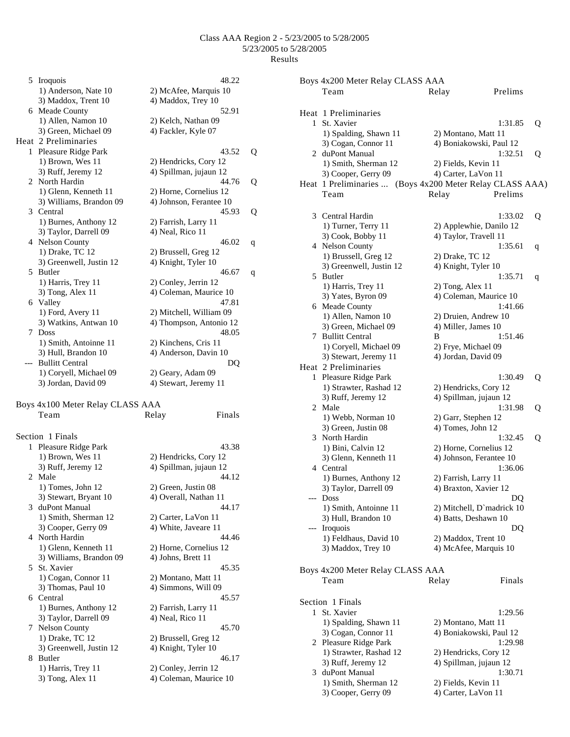5 Iroquois 48.22 1) Anderson, Nate 10 2) McAfee, Marquis 10 3) Maddox, Trent 10 4) Maddox, Trey 10 6 Meade County 52.91<br>1) Allen, Namon 10 2) Kelch, Nathan 09 2) Kelch, Nathan 09 3) Green, Michael 09 4) Fackler, Kyle 07 Heat 2 Preliminaries 1 Pleasure Ridge Park 43.52 Q 1) Brown, Wes 11 2) Hendricks, Cory 12 3) Ruff, Jeremy 12 4) Spillman, jujaun 12 2 North Hardin 44.76 Q 1) Glenn, Kenneth 11 2) Horne, Cornelius 12 3) Williams, Brandon 09 4) Johnson, Ferantee 10 3 Central 45.93 Q 1) Burnes, Anthony 12 2) Farrish, Larry 11 3) Taylor, Darrell 09 4) Neal, Rico 11 4 Nelson County 46.02 q 1) Drake, TC 12 2) Brussell, Greg 12 3) Greenwell, Justin 12 4) Knight, Tyler 10 5 Butler 46.67 q<br>1) Harris, Trey 11 2) Conley, Jerrin 12 2) Conley, Jerrin 12 3) Tong, Alex 11 4) Coleman, Maurice 10 6 Valley 47.81 1) Ford, Avery 11 2) Mitchell, William 09<br>3) Watkins, Antwan 10 4) Thompson, Antonio 1 4) Thompson, Antonio 12 7 Doss 48.05 1) Smith, Antoinne 11 2) Kinchens, Cris 11 3) Hull, Brandon 10 4) Anderson, Davin 10 --- Bullitt Central DO 1) Coryell, Michael 09 2) Geary, Adam 09 3) Jordan, David 09 4) Stewart, Jeremy 11

Boys 4x100 Meter Relay CLASS AAA Team Relay Finals

|                             | Section 1 Finals        |                        |
|-----------------------------|-------------------------|------------------------|
|                             | 1 Pleasure Ridge Park   | 43.38                  |
|                             | 1) Brown, Wes 11        | 2) Hendricks, Cory 12  |
|                             | 3) Ruff, Jeremy 12      | 4) Spillman, jujaun 12 |
| $\mathcal{D}_{\mathcal{L}}$ | Male                    | 44.12                  |
|                             | $1)$ Tomes, John $12$   | 2) Green, Justin 08    |
|                             | 3) Stewart, Bryant 10   | 4) Overall, Nathan 11  |
|                             | 3 duPont Manual         | 44.17                  |
|                             | 1) Smith, Sherman 12    | 2) Carter, LaVon 11    |
|                             | 3) Cooper, Gerry 09     | 4) White, Javeare 11   |
|                             | 4 North Hardin          | 44.46                  |
|                             | 1) Glenn, Kenneth 11    | 2) Horne, Cornelius 12 |
|                             | 3) Williams, Brandon 09 | 4) Johns, Brett 11     |
|                             | 5 St. Xavier            | 45.35                  |
|                             | 1) Cogan, Connor 11     | 2) Montano, Matt 11    |
|                             | 3) Thomas, Paul 10      | 4) Simmons, Will 09    |
|                             | 6 Central               | 45.57                  |
|                             | 1) Burnes, Anthony 12   | 2) Farrish, Larry 11   |
|                             | 3) Taylor, Darrell 09   | 4) Neal, Rico 11       |
|                             | 7 Nelson County         | 45.70                  |
|                             | 1) Drake, TC 12         | 2) Brussell, Greg 12   |
|                             | 3) Greenwell, Justin 12 | 4) Knight, Tyler 10    |
| 8                           | <b>Butler</b>           | 46.17                  |
|                             | 1) Harris, Trey 11      | 2) Conley, Jerrin 12   |
|                             | $3)$ Tong, Alex 11      | 4) Coleman, Maurice 10 |
|                             |                         |                        |

|              | Boys 4x200 Meter Relay CLASS AAA                         |                           |   |
|--------------|----------------------------------------------------------|---------------------------|---|
|              | Team                                                     | Prelims<br>Relay          |   |
|              | Heat 1 Preliminaries                                     |                           |   |
| $\mathbf{1}$ | St. Xavier                                               | 1:31.85                   | Q |
|              | 1) Spalding, Shawn 11                                    | 2) Montano, Matt 11       |   |
|              | 3) Cogan, Connor 11                                      | 4) Boniakowski, Paul 12   |   |
|              | 2 duPont Manual                                          | 1:32.51                   | Q |
|              | 1) Smith, Sherman 12                                     | 2) Fields, Kevin 11       |   |
|              | 3) Cooper, Gerry 09                                      | 4) Carter, LaVon 11       |   |
|              | Heat 1 Preliminaries  (Boys 4x200 Meter Relay CLASS AAA) |                           |   |
|              | Team                                                     | Relay<br>Prelims          |   |
|              | 3 Central Hardin                                         | 1:33.02                   | Q |
|              | 1) Turner, Terry 11                                      | 2) Applewhie, Danilo 12   |   |
|              | 3) Cook, Bobby 11                                        | 4) Taylor, Travell 11     |   |
|              | 4 Nelson County                                          | 1:35.61                   | q |
|              | 1) Brussell, Greg 12                                     | 2) Drake, TC 12           |   |
|              | 3) Greenwell, Justin 12                                  | 4) Knight, Tyler 10       |   |
|              | 5 Butler                                                 | 1:35.71                   | q |
|              | 1) Harris, Trey 11                                       | 2) Tong, Alex 11          |   |
|              | 3) Yates, Byron 09                                       | 4) Coleman, Maurice 10    |   |
|              | 6 Meade County                                           | 1:41.66                   |   |
|              | 1) Allen, Namon 10                                       | 2) Druien, Andrew 10      |   |
|              | 3) Green, Michael 09                                     | 4) Miller, James 10       |   |
| 7            | <b>Bullitt Central</b>                                   | B<br>1:51.46              |   |
|              | 1) Coryell, Michael 09                                   | 2) Frye, Michael 09       |   |
|              | 3) Stewart, Jeremy 11                                    | 4) Jordan, David 09       |   |
|              | Heat 2 Preliminaries                                     |                           |   |
|              | 1 Pleasure Ridge Park                                    | 1:30.49                   | Q |
|              | 1) Strawter, Rashad 12                                   | 2) Hendricks, Cory 12     |   |
|              | 3) Ruff, Jeremy 12                                       | 4) Spillman, jujaun 12    |   |
|              | 2 Male                                                   | 1:31.98                   | Q |
|              | 1) Webb, Norman 10                                       | 2) Garr, Stephen 12       |   |
|              | 3) Green, Justin 08                                      | 4) Tomes, John 12         |   |
|              | 3 North Hardin                                           | 1:32.45                   | Q |
|              | 1) Bini, Calvin 12                                       | 2) Horne, Cornelius 12    |   |
|              | 3) Glenn, Kenneth 11                                     | 4) Johnson, Ferantee 10   |   |
|              | 4 Central                                                | 1:36.06                   |   |
|              | 1) Burnes, Anthony 12                                    | 2) Farrish, Larry 11      |   |
|              | 3) Taylor, Darrell 09                                    | 4) Braxton, Xavier 12     |   |
|              | --- Doss                                                 | DQ                        |   |
|              | 1) Smith, Antoinne 11                                    | 2) Mitchell, D'madrick 10 |   |
|              | 3) Hull, Brandon 10                                      | 4) Batts, Deshawn 10      |   |
| ---          | Iroquois                                                 | DQ                        |   |
|              | 1) Feldhaus, David 10                                    | 2) Maddox, Trent 10       |   |
|              | 3) Maddox, Trey 10                                       | 4) McAfee, Marquis 10     |   |
|              |                                                          |                           |   |
|              | Boys 4x200 Meter Relay CLASS AAA                         |                           |   |
|              | Team                                                     | Finals<br>Relay           |   |
|              | Section 1 Finals                                         |                           |   |
| 1            | St. Xavier                                               | 1:29.56                   |   |
|              | 1) Spalding, Shawn 11                                    | 2) Montano, Matt 11       |   |
|              | 3) Cogan, Connor 11                                      | 4) Boniakowski, Paul 12   |   |
|              | 2 Pleasure Ridge Park                                    | 1:29.98                   |   |
|              | 1) Strawter, Rashad 12                                   | 2) Hendricks, Cory 12     |   |
|              |                                                          | 4) Spillman, jujaun 12    |   |
|              | 3) Ruff, Jeremy 12<br>3 duPont Manual                    | 1:30.71                   |   |
|              | 1) Smith, Sherman 12                                     | 2) Fields, Kevin 11       |   |
|              | 3) Cooper, Gerry 09                                      | 4) Carter, LaVon 11       |   |
|              |                                                          |                           |   |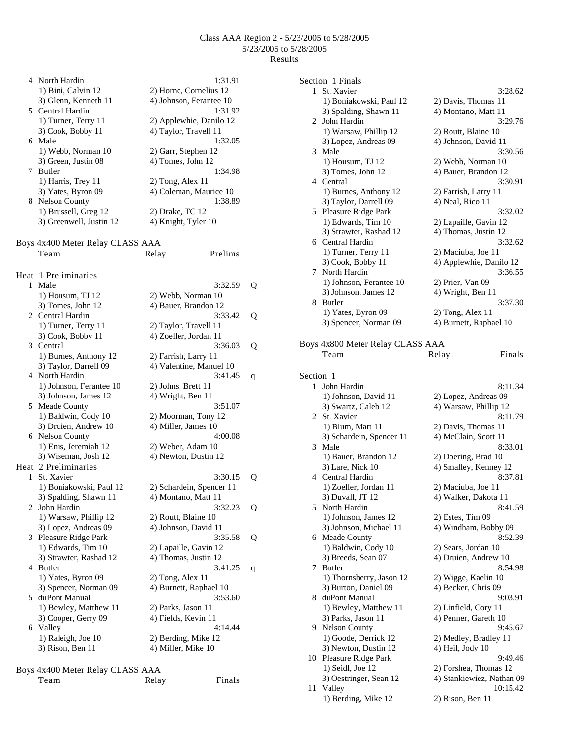|              | 4 North Hardin                           | 1:31.91                                        |   |
|--------------|------------------------------------------|------------------------------------------------|---|
|              | 1) Bini, Calvin 12                       | 2) Horne, Cornelius 12                         |   |
|              | 3) Glenn, Kenneth 11                     | 4) Johnson, Ferantee 10                        |   |
|              | 5 Central Hardin                         | 1:31.92                                        |   |
|              | 1) Turner, Terry 11                      | 2) Applewhie, Danilo 12                        |   |
|              | 3) Cook, Bobby 11                        | 4) Taylor, Travell 11                          |   |
| 6            | Male                                     | 1:32.05                                        |   |
|              | 1) Webb, Norman 10                       | 2) Garr, Stephen 12                            |   |
|              | 3) Green, Justin 08                      | 4) Tomes, John 12                              |   |
|              | 7 Butler                                 | 1:34.98                                        |   |
|              | 1) Harris, Trey 11                       | 2) Tong, Alex 11                               |   |
|              | 3) Yates, Byron 09                       | 4) Coleman, Maurice 10                         |   |
|              | 8 Nelson County                          | 1:38.89                                        |   |
|              | 1) Brussell, Greg 12                     | 2) Drake, TC 12                                |   |
|              | 3) Greenwell, Justin 12                  | 4) Knight, Tyler 10                            |   |
|              | Boys 4x400 Meter Relay CLASS AAA         |                                                |   |
|              | Team                                     | Prelims<br>Relay                               |   |
|              |                                          |                                                |   |
|              | Heat 1 Preliminaries                     |                                                |   |
| $\mathbf{1}$ | Male                                     | 3:32.59                                        | Q |
|              | 1) Housum, TJ 12                         | 2) Webb, Norman 10                             |   |
|              | 3) Tomes, John 12                        | 4) Bauer, Brandon 12                           |   |
|              | 2 Central Hardin                         | 3:33.42                                        | Q |
|              | 1) Turner, Terry 11<br>3) Cook, Bobby 11 | 2) Taylor, Travell 11<br>4) Zoeller, Jordan 11 |   |
|              | 3 Central                                | 3:36.03                                        |   |
|              | 1) Burnes, Anthony 12                    | 2) Farrish, Larry 11                           | Q |
|              | 3) Taylor, Darrell 09                    | 4) Valentine, Manuel 10                        |   |
|              | 4 North Hardin                           | 3:41.45                                        | q |
|              | 1) Johnson, Ferantee 10                  | 2) Johns, Brett 11                             |   |
|              | 3) Johnson, James 12                     | 4) Wright, Ben 11                              |   |
| 5.           | Meade County                             | 3:51.07                                        |   |
|              | 1) Baldwin, Cody 10                      | 2) Moorman, Tony 12                            |   |
|              | 3) Druien, Andrew 10                     | 4) Miller, James 10                            |   |
|              | 6 Nelson County                          | 4:00.08                                        |   |
|              | 1) Enis, Jeremiah 12                     | 2) Weber, Adam 10                              |   |
|              | 3) Wiseman, Josh 12                      | 4) Newton, Dustin 12                           |   |
|              | Heat 2 Preliminaries                     |                                                |   |
| 1            | St. Xavier                               | 3:30.15                                        | Q |
|              | 1) Boniakowski, Paul 12                  | 2) Schardein, Spencer 11                       |   |
|              | 3) Spalding, Shawn 11                    | 4) Montano, Matt 11                            |   |
| 2            | John Hardin                              | 3:32.23                                        | Q |
|              | 1) Warsaw, Phillip 12                    | 2) Routt, Blaine 10                            |   |
|              | 3) Lopez, Andreas 09                     | 4) Johnson, David 11                           |   |
| 3            | Pleasure Ridge Park                      | 3:35.58                                        | Q |
|              | 1) Edwards, Tim 10                       | 2) Lapaille, Gavin 12                          |   |
|              | 3) Strawter, Rashad 12<br>Butler         | 4) Thomas, Justin 12<br>3:41.25                |   |
| 4            | 1) Yates, Byron 09                       |                                                | q |
|              | 3) Spencer, Norman 09                    | $2)$ Tong, Alex 11<br>4) Burnett, Raphael 10   |   |
| 5            | duPont Manual                            | 3:53.60                                        |   |
|              | 1) Bewley, Matthew 11                    | 2) Parks, Jason 11                             |   |
|              | 3) Cooper, Gerry 09                      | 4) Fields, Kevin 11                            |   |
| 6            | Valley                                   | 4:14.44                                        |   |
|              | 1) Raleigh, Joe 10                       | 2) Berding, Mike 12                            |   |
|              | 3) Rison, Ben 11                         | 4) Miller, Mike 10                             |   |
|              |                                          |                                                |   |

| Team | Relay | Finals |
|------|-------|--------|
|      |       |        |

|              | Section 1 Finals                 |                           |
|--------------|----------------------------------|---------------------------|
| $\mathbf{1}$ | St. Xavier                       | 3:28.62                   |
|              | 1) Boniakowski, Paul 12          | 2) Davis, Thomas 11       |
|              | 3) Spalding, Shawn 11            | 4) Montano, Matt 11       |
| 2            | John Hardin                      | 3:29.76                   |
|              | 1) Warsaw, Phillip 12            | 2) Routt, Blaine 10       |
|              | 3) Lopez, Andreas 09             |                           |
|              |                                  | 4) Johnson, David 11      |
|              | 3 Male                           | 3:30.56                   |
|              | $1)$ Housum, TJ $12$             | 2) Webb, Norman 10        |
|              | 3) Tomes, John 12                | 4) Bauer, Brandon 12      |
|              | 4 Central                        | 3:30.91                   |
|              | 1) Burnes, Anthony 12            | 2) Farrish, Larry 11      |
|              | 3) Taylor, Darrell 09            | 4) Neal, Rico 11          |
|              | 5 Pleasure Ridge Park            | 3:32.02                   |
|              | 1) Edwards, Tim 10               | 2) Lapaille, Gavin 12     |
|              |                                  |                           |
|              | 3) Strawter, Rashad 12           | 4) Thomas, Justin 12      |
|              | 6 Central Hardin                 | 3:32.62                   |
|              | 1) Turner, Terry 11              | 2) Maciuba, Joe 11        |
|              | 3) Cook, Bobby 11                | 4) Applewhie, Danilo 12   |
| 7            | North Hardin                     | 3:36.55                   |
|              | 1) Johnson, Ferantee 10          | 2) Prier, Van 09          |
|              | 3) Johnson, James 12             | 4) Wright, Ben 11         |
| 8.           | Butler                           | 3:37.30                   |
|              | 1) Yates, Byron 09               | 2) Tong, Alex 11          |
|              | 3) Spencer, Norman 09            | 4) Burnett, Raphael 10    |
|              |                                  |                           |
|              |                                  |                           |
|              | Boys 4x800 Meter Relay CLASS AAA |                           |
|              | Team                             | Finals<br>Relay           |
|              |                                  |                           |
| Section 1    |                                  |                           |
| $\mathbf{1}$ | John Hardin                      | 8:11.34                   |
|              | 1) Johnson, David 11             | 2) Lopez, Andreas 09      |
|              | 3) Swartz, Caleb 12              | 4) Warsaw, Phillip 12     |
|              | 2 St. Xavier                     | 8:11.79                   |
|              |                                  |                           |
|              | 1) Blum, Matt 11                 | 2) Davis, Thomas 11       |
|              | 3) Schardein, Spencer 11         | 4) McClain, Scott 11      |
|              | 3 Male                           | 8:33.01                   |
|              | 1) Bauer, Brandon 12             | 2) Doering, Brad 10       |
|              | 3) Lare, Nick 10                 | 4) Smalley, Kenney 12     |
|              | 4 Central Hardin                 | 8:37.81                   |
|              | 1) Zoeller, Jordan 11            | 2) Maciuba, Joe 11        |
|              | 3) Duvall, JT 12                 | 4) Walker, Dakota II      |
| 5.           | North Hardin                     | 8:41.59                   |
|              | 1) Johnson, James 12             | 2) Estes, Tim 09          |
|              |                                  |                           |
|              | 3) Johnson, Michael 11           | 4) Windham, Bobby 09      |
|              | 6 Meade County                   | 8:52.39                   |
|              | 1) Baldwin, Cody 10              | 2) Sears, Jordan 10       |
|              | 3) Breeds, Sean 07               | 4) Druien, Andrew 10      |
| 7            | Butler                           | 8:54.98                   |
|              | 1) Thornsberry, Jason 12         | 2) Wigge, Kaelin 10       |
|              | 3) Burton, Daniel 09             | 4) Becker, Chris 09       |
|              | 8 duPont Manual                  | 9:03.91                   |
|              | 1) Bewley, Matthew 11            | 2) Linfield, Cory 11      |
|              | 3) Parks, Jason 11               | 4) Penner, Gareth 10      |
|              |                                  |                           |
|              | 9 Nelson County                  | 9:45.67                   |
|              | 1) Goode, Derrick 12             | 2) Medley, Bradley 11     |
|              | 3) Newton, Dustin 12             | 4) Heil, Jody 10          |
|              | 10 Pleasure Ridge Park           | 9:49.46                   |
|              | 1) Seidl, Joe 12                 | 2) Forshea, Thomas 12     |
|              | 3) Oestringer, Sean 12           | 4) Stankiewiez, Nathan 09 |
| 11           | Valley                           | 10:15.42                  |
|              | 1) Berding, Mike 12              | 2) Rison, Ben 11          |
|              |                                  |                           |